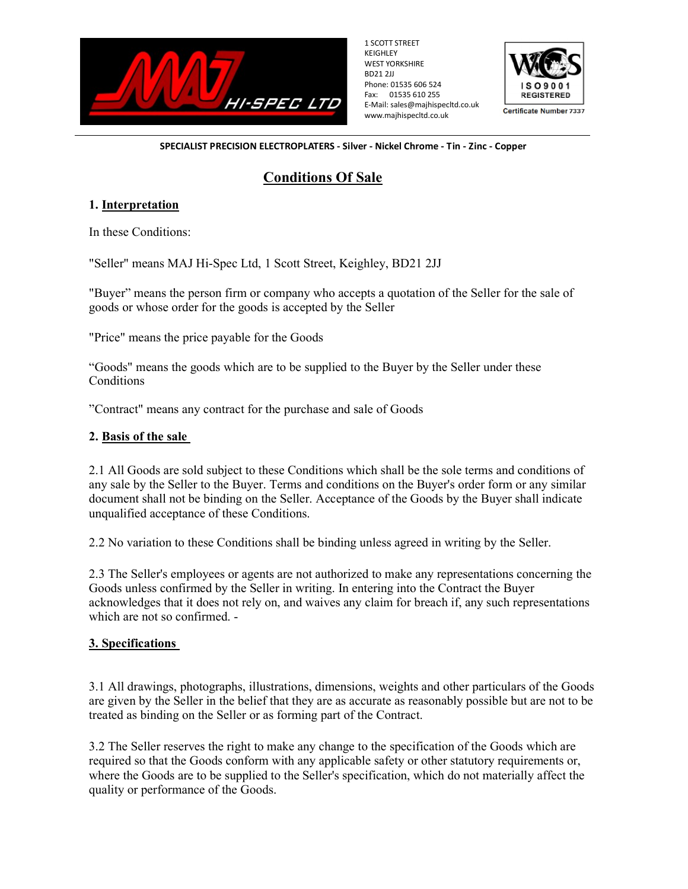

1 SCOTT STREET KEIGHLEY WEST YORKSHIRE BD21 2JJ Phone: 01535 606 524 Fax: 01535 610 255 E-Mail: sales@majhispecltd.co.uk www.majhispecltd.co.uk



**Certificate Number 7337** 

SPECIALIST PRECISION ELECTROPLATERS - Silver - Nickel Chrome - Tin - Zinc - Copper

# Conditions Of Sale

### 1. Interpretation

In these Conditions:

"Seller" means MAJ Hi-Spec Ltd, 1 Scott Street, Keighley, BD21 2JJ

"Buyer" means the person firm or company who accepts a quotation of the Seller for the sale of goods or whose order for the goods is accepted by the Seller

"Price" means the price payable for the Goods

"Goods" means the goods which are to be supplied to the Buyer by the Seller under these **Conditions** 

"Contract" means any contract for the purchase and sale of Goods

#### 2. Basis of the sale

2.1 All Goods are sold subject to these Conditions which shall be the sole terms and conditions of any sale by the Seller to the Buyer. Terms and conditions on the Buyer's order form or any similar document shall not be binding on the Seller. Acceptance of the Goods by the Buyer shall indicate unqualified acceptance of these Conditions.

2.2 No variation to these Conditions shall be binding unless agreed in writing by the Seller.

2.3 The Seller's employees or agents are not authorized to make any representations concerning the Goods unless confirmed by the Seller in writing. In entering into the Contract the Buyer acknowledges that it does not rely on, and waives any claim for breach if, any such representations which are not so confirmed. -

### 3. Specifications

3.1 All drawings, photographs, illustrations, dimensions, weights and other particulars of the Goods are given by the Seller in the belief that they are as accurate as reasonably possible but are not to be treated as binding on the Seller or as forming part of the Contract.

3.2 The Seller reserves the right to make any change to the specification of the Goods which are required so that the Goods conform with any applicable safety or other statutory requirements or, where the Goods are to be supplied to the Seller's specification, which do not materially affect the quality or performance of the Goods.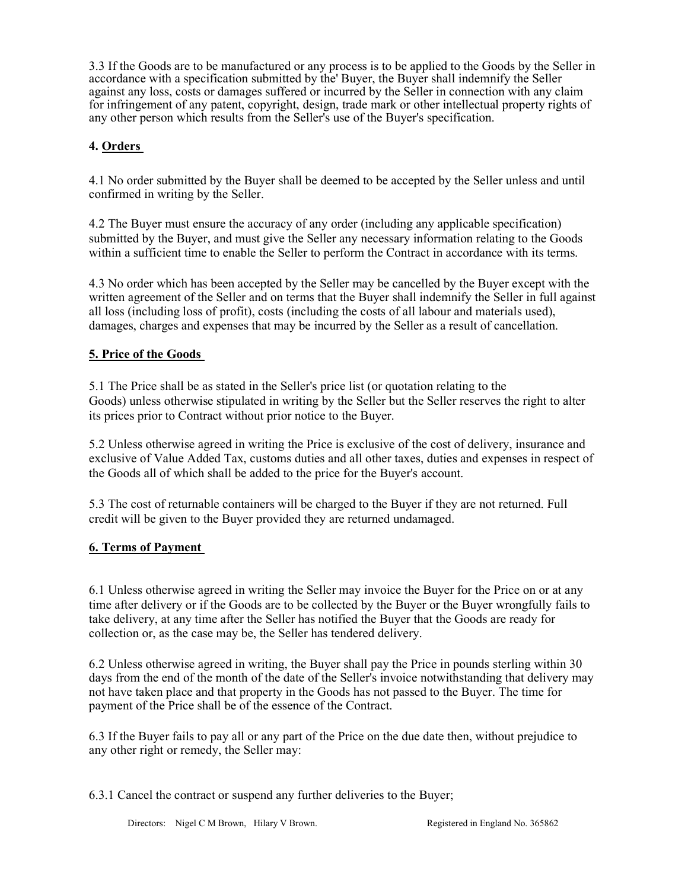3.3 If the Goods are to be manufactured or any process is to be applied to the Goods by the Seller in accordance with a specification submitted by the' Buyer, the Buyer shall indemnify the Seller against any loss, costs or damages suffered or incurred by the Seller in connection with any claim for infringement of any patent, copyright, design, trade mark or other intellectual property rights of any other person which results from the Seller's use of the Buyer's specification.

## 4. Orders

4.1 No order submitted by the Buyer shall be deemed to be accepted by the Seller unless and until confirmed in writing by the Seller.

4.2 The Buyer must ensure the accuracy of any order (including any applicable specification) submitted by the Buyer, and must give the Seller any necessary information relating to the Goods within a sufficient time to enable the Seller to perform the Contract in accordance with its terms.

4.3 No order which has been accepted by the Seller may be cancelled by the Buyer except with the written agreement of the Seller and on terms that the Buyer shall indemnify the Seller in full against all loss (including loss of profit), costs (including the costs of all labour and materials used), damages, charges and expenses that may be incurred by the Seller as a result of cancellation.

### 5. Price of the Goods

5.1 The Price shall be as stated in the Seller's price list (or quotation relating to the Goods) unless otherwise stipulated in writing by the Seller but the Seller reserves the right to alter its prices prior to Contract without prior notice to the Buyer.

5.2 Unless otherwise agreed in writing the Price is exclusive of the cost of delivery, insurance and exclusive of Value Added Tax, customs duties and all other taxes, duties and expenses in respect of the Goods all of which shall be added to the price for the Buyer's account.

5.3 The cost of returnable containers will be charged to the Buyer if they are not returned. Full credit will be given to the Buyer provided they are returned undamaged.

### 6. Terms of Payment

6.1 Unless otherwise agreed in writing the Seller may invoice the Buyer for the Price on or at any time after delivery or if the Goods are to be collected by the Buyer or the Buyer wrongfully fails to take delivery, at any time after the Seller has notified the Buyer that the Goods are ready for collection or, as the case may be, the Seller has tendered delivery.

6.2 Unless otherwise agreed in writing, the Buyer shall pay the Price in pounds sterling within 30 days from the end of the month of the date of the Seller's invoice notwithstanding that delivery may not have taken place and that property in the Goods has not passed to the Buyer. The time for payment of the Price shall be of the essence of the Contract.

6.3 If the Buyer fails to pay all or any part of the Price on the due date then, without prejudice to any other right or remedy, the Seller may:

6.3.1 Cancel the contract or suspend any further deliveries to the Buyer;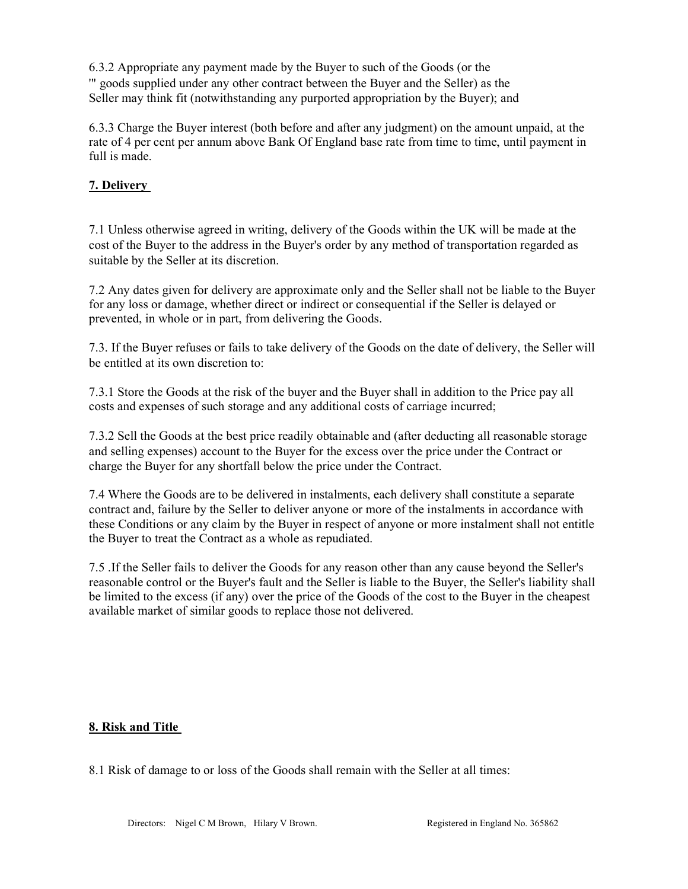6.3.2 Appropriate any payment made by the Buyer to such of the Goods (or the '" goods supplied under any other contract between the Buyer and the Seller) as the Seller may think fit (notwithstanding any purported appropriation by the Buyer); and

6.3.3 Charge the Buyer interest (both before and after any judgment) on the amount unpaid, at the rate of 4 per cent per annum above Bank Of England base rate from time to time, until payment in full is made.

# 7. Delivery

7.1 Unless otherwise agreed in writing, delivery of the Goods within the UK will be made at the cost of the Buyer to the address in the Buyer's order by any method of transportation regarded as suitable by the Seller at its discretion.

7.2 Any dates given for delivery are approximate only and the Seller shall not be liable to the Buyer for any loss or damage, whether direct or indirect or consequential if the Seller is delayed or prevented, in whole or in part, from delivering the Goods.

7.3. If the Buyer refuses or fails to take delivery of the Goods on the date of delivery, the Seller will be entitled at its own discretion to:

7.3.1 Store the Goods at the risk of the buyer and the Buyer shall in addition to the Price pay all costs and expenses of such storage and any additional costs of carriage incurred;

7.3.2 Sell the Goods at the best price readily obtainable and (after deducting all reasonable storage and selling expenses) account to the Buyer for the excess over the price under the Contract or charge the Buyer for any shortfall below the price under the Contract.

7.4 Where the Goods are to be delivered in instalments, each delivery shall constitute a separate contract and, failure by the Seller to deliver anyone or more of the instalments in accordance with these Conditions or any claim by the Buyer in respect of anyone or more instalment shall not entitle the Buyer to treat the Contract as a whole as repudiated.

7.5 .If the Seller fails to deliver the Goods for any reason other than any cause beyond the Seller's reasonable control or the Buyer's fault and the Seller is liable to the Buyer, the Seller's liability shall be limited to the excess (if any) over the price of the Goods of the cost to the Buyer in the cheapest available market of similar goods to replace those not delivered.

# 8. Risk and Title

8.1 Risk of damage to or loss of the Goods shall remain with the Seller at all times: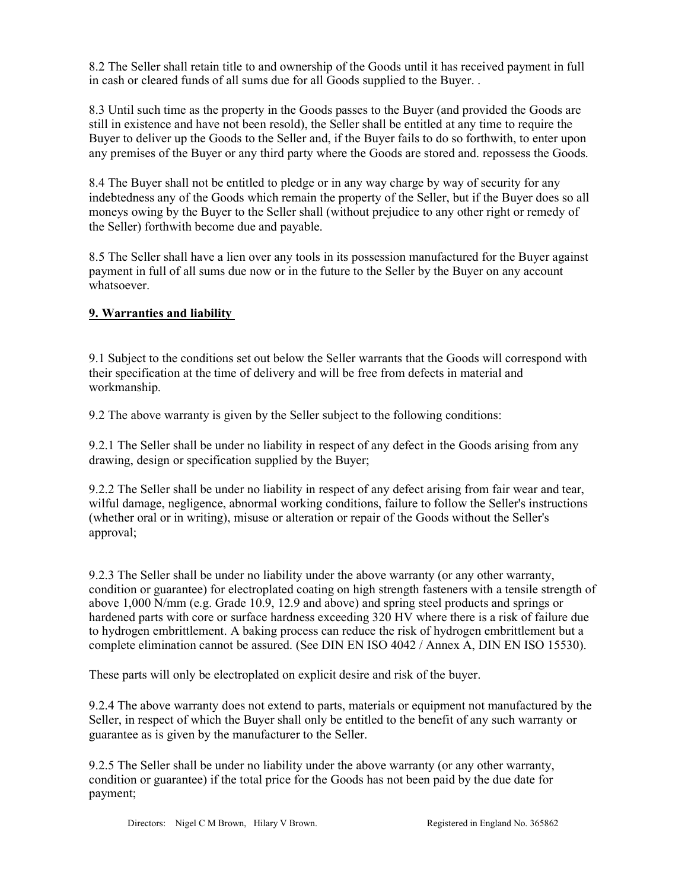8.2 The Seller shall retain title to and ownership of the Goods until it has received payment in full in cash or cleared funds of all sums due for all Goods supplied to the Buyer. .

8.3 Until such time as the property in the Goods passes to the Buyer (and provided the Goods are still in existence and have not been resold), the Seller shall be entitled at any time to require the Buyer to deliver up the Goods to the Seller and, if the Buyer fails to do so forthwith, to enter upon any premises of the Buyer or any third party where the Goods are stored and. repossess the Goods.

8.4 The Buyer shall not be entitled to pledge or in any way charge by way of security for any indebtedness any of the Goods which remain the property of the Seller, but if the Buyer does so all moneys owing by the Buyer to the Seller shall (without prejudice to any other right or remedy of the Seller) forthwith become due and payable.

8.5 The Seller shall have a lien over any tools in its possession manufactured for the Buyer against payment in full of all sums due now or in the future to the Seller by the Buyer on any account whatsoever.

### 9. Warranties and liability

9.1 Subject to the conditions set out below the Seller warrants that the Goods will correspond with their specification at the time of delivery and will be free from defects in material and workmanship.

9.2 The above warranty is given by the Seller subject to the following conditions:

9.2.1 The Seller shall be under no liability in respect of any defect in the Goods arising from any drawing, design or specification supplied by the Buyer;

9.2.2 The Seller shall be under no liability in respect of any defect arising from fair wear and tear, wilful damage, negligence, abnormal working conditions, failure to follow the Seller's instructions (whether oral or in writing), misuse or alteration or repair of the Goods without the Seller's approval;

9.2.3 The Seller shall be under no liability under the above warranty (or any other warranty, condition or guarantee) for electroplated coating on high strength fasteners with a tensile strength of above 1,000 N/mm (e.g. Grade 10.9, 12.9 and above) and spring steel products and springs or hardened parts with core or surface hardness exceeding 320 HV where there is a risk of failure due to hydrogen embrittlement. A baking process can reduce the risk of hydrogen embrittlement but a complete elimination cannot be assured. (See DIN EN ISO 4042 / Annex A, DIN EN ISO 15530).

These parts will only be electroplated on explicit desire and risk of the buyer.

9.2.4 The above warranty does not extend to parts, materials or equipment not manufactured by the Seller, in respect of which the Buyer shall only be entitled to the benefit of any such warranty or guarantee as is given by the manufacturer to the Seller.

9.2.5 The Seller shall be under no liability under the above warranty (or any other warranty, condition or guarantee) if the total price for the Goods has not been paid by the due date for payment;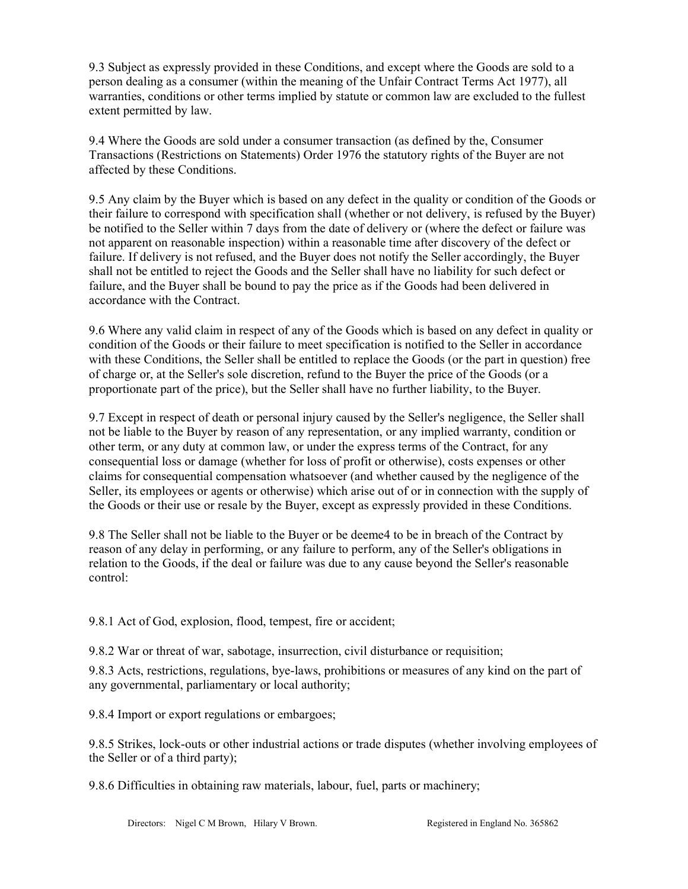9.3 Subject as expressly provided in these Conditions, and except where the Goods are sold to a person dealing as a consumer (within the meaning of the Unfair Contract Terms Act 1977), all warranties, conditions or other terms implied by statute or common law are excluded to the fullest extent permitted by law.

9.4 Where the Goods are sold under a consumer transaction (as defined by the, Consumer Transactions (Restrictions on Statements) Order 1976 the statutory rights of the Buyer are not affected by these Conditions.

9.5 Any claim by the Buyer which is based on any defect in the quality or condition of the Goods or their failure to correspond with specification shall (whether or not delivery, is refused by the Buyer) be notified to the Seller within 7 days from the date of delivery or (where the defect or failure was not apparent on reasonable inspection) within a reasonable time after discovery of the defect or failure. If delivery is not refused, and the Buyer does not notify the Seller accordingly, the Buyer shall not be entitled to reject the Goods and the Seller shall have no liability for such defect or failure, and the Buyer shall be bound to pay the price as if the Goods had been delivered in accordance with the Contract.

9.6 Where any valid claim in respect of any of the Goods which is based on any defect in quality or condition of the Goods or their failure to meet specification is notified to the Seller in accordance with these Conditions, the Seller shall be entitled to replace the Goods (or the part in question) free of charge or, at the Seller's sole discretion, refund to the Buyer the price of the Goods (or a proportionate part of the price), but the Seller shall have no further liability, to the Buyer.

9.7 Except in respect of death or personal injury caused by the Seller's negligence, the Seller shall not be liable to the Buyer by reason of any representation, or any implied warranty, condition or other term, or any duty at common law, or under the express terms of the Contract, for any consequential loss or damage (whether for loss of profit or otherwise), costs expenses or other claims for consequential compensation whatsoever (and whether caused by the negligence of the Seller, its employees or agents or otherwise) which arise out of or in connection with the supply of the Goods or their use or resale by the Buyer, except as expressly provided in these Conditions.

9.8 The Seller shall not be liable to the Buyer or be deeme4 to be in breach of the Contract by reason of any delay in performing, or any failure to perform, any of the Seller's obligations in relation to the Goods, if the deal or failure was due to any cause beyond the Seller's reasonable control:

9.8.1 Act of God, explosion, flood, tempest, fire or accident;

9.8.2 War or threat of war, sabotage, insurrection, civil disturbance or requisition;

9.8.3 Acts, restrictions, regulations, bye-laws, prohibitions or measures of any kind on the part of any governmental, parliamentary or local authority;

9.8.4 Import or export regulations or embargoes;

9.8.5 Strikes, lock-outs or other industrial actions or trade disputes (whether involving employees of the Seller or of a third party);

9.8.6 Difficulties in obtaining raw materials, labour, fuel, parts or machinery;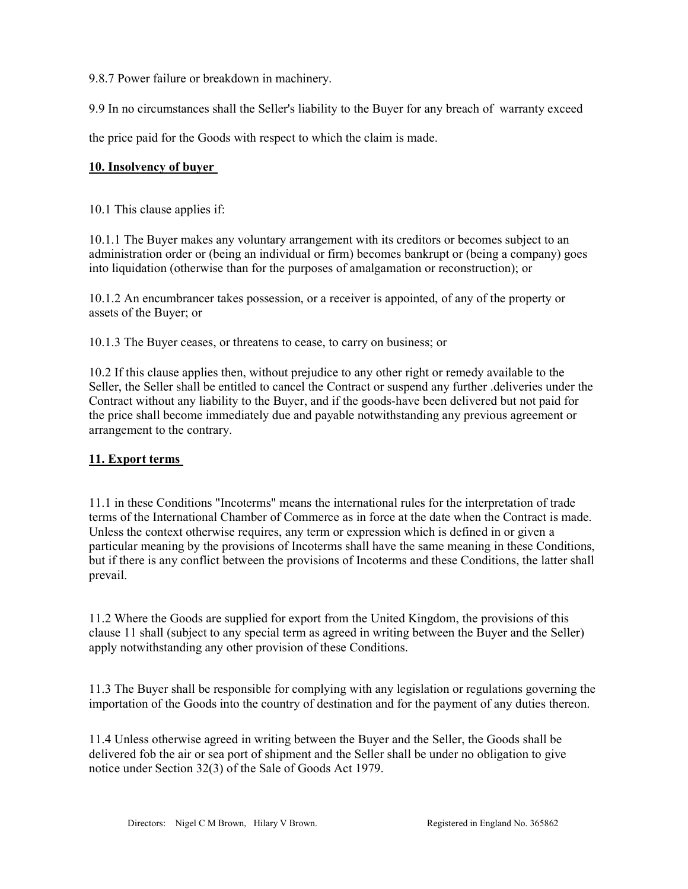9.8.7 Power failure or breakdown in machinery.

9.9 In no circumstances shall the Seller's liability to the Buyer for any breach of warranty exceed

the price paid for the Goods with respect to which the claim is made.

#### 10. Insolvency of buyer

10.1 This clause applies if:

10.1.1 The Buyer makes any voluntary arrangement with its creditors or becomes subject to an administration order or (being an individual or firm) becomes bankrupt or (being a company) goes into liquidation (otherwise than for the purposes of amalgamation or reconstruction); or

10.1.2 An encumbrancer takes possession, or a receiver is appointed, of any of the property or assets of the Buyer; or

10.1.3 The Buyer ceases, or threatens to cease, to carry on business; or

10.2 If this clause applies then, without prejudice to any other right or remedy available to the Seller, the Seller shall be entitled to cancel the Contract or suspend any further .deliveries under the Contract without any liability to the Buyer, and if the goods-have been delivered but not paid for the price shall become immediately due and payable notwithstanding any previous agreement or arrangement to the contrary.

### 11. Export terms

11.1 in these Conditions "Incoterms" means the international rules for the interpretation of trade terms of the International Chamber of Commerce as in force at the date when the Contract is made. Unless the context otherwise requires, any term or expression which is defined in or given a particular meaning by the provisions of Incoterms shall have the same meaning in these Conditions, but if there is any conflict between the provisions of Incoterms and these Conditions, the latter shall prevail.

11.2 Where the Goods are supplied for export from the United Kingdom, the provisions of this clause 11 shall (subject to any special term as agreed in writing between the Buyer and the Seller) apply notwithstanding any other provision of these Conditions.

11.3 The Buyer shall be responsible for complying with any legislation or regulations governing the importation of the Goods into the country of destination and for the payment of any duties thereon.

11.4 Unless otherwise agreed in writing between the Buyer and the Seller, the Goods shall be delivered fob the air or sea port of shipment and the Seller shall be under no obligation to give notice under Section 32(3) of the Sale of Goods Act 1979.